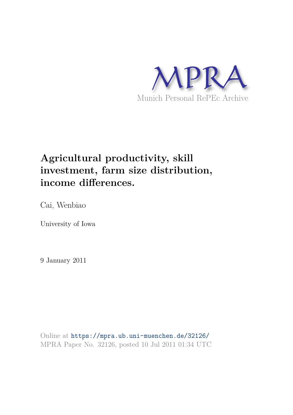

# **Agricultural productivity, skill investment, farm size distribution, income differences.**

Cai, Wenbiao

University of Iowa

9 January 2011

Online at https://mpra.ub.uni-muenchen.de/32126/ MPRA Paper No. 32126, posted 10 Jul 2011 01:34 UTC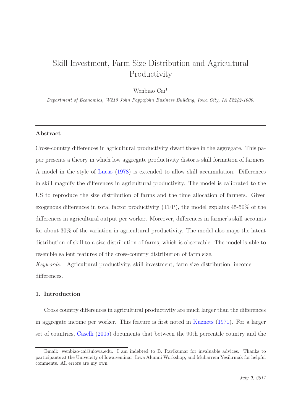# Skill Investment, Farm Size Distribution and Agricultural Productivity

Wenbiao Cai<sup>1</sup>

Department of Economics, W210 John Pappajohn Business Building, Iowa City, IA 52242-1000.

# Abstract

Cross-country differences in agricultural productivity dwarf those in the aggregate. This paper presents a theory in which low aggregate productivity distorts skill formation of farmers. A model in the style of Lucas (1978) is extended to allow skill accumulation. Differences in skill magnify the differences in agricultural productivity. The model is calibrated to the US to reproduce the size distribution of farms and the time allocation of farmers. Given exogenous differences in total factor productivity (TFP), the model explains 45-50% of the differences in agricultural output per worker. Moreover, differences in farmer's skill accounts for about 30% of the variation in agricultural productivity. The model also maps the latent distribution of skill to a size distribution of farms, which is observable. The model is able to resemble salient features of the cross-country distribution of farm size. Keywords: Agricultural productivity, skill investment, farm size distribution, income

differences.

#### 1. Introduction

Cross country differences in agricultural productivity are much larger than the differences in aggregate income per worker. This feature is first noted in Kuznets (1971). For a larger set of countries, Caselli (2005) documents that between the 90th percentile country and the

<sup>&</sup>lt;sup>1</sup>Email: wenbiao-cai@uiowa.edu. I am indebted to B. Ravikumar for invaluable advices. Thanks to participants at the University of Iowa seminar, Iowa Alumni Workshop, and Muharrem Yesilirmak for helpful comments. All errors are my own.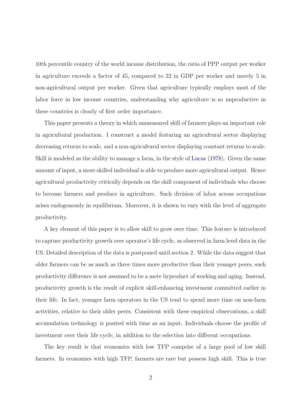10th percentile country of the world income distribution, the ratio of PPP output per worker in agriculture exceeds a factor of 45, compared to 22 in GDP per worker and merely 5 in non-agricultural output per worker. Given that agriculture typically employs most of the labor force in low income countries, understanding why agriculture is so unproductive in these countries is clearly of first order importance.

This paper presents a theory in which unmeasured skill of farmers plays an important role in agricultural production. I construct a model featuring an agricultural sector displaying decreasing returns to scale, and a non-agricultural sector displaying constant returns to scale. Skill is modeled as the ability to manage a farm, in the style of Lucas (1978). Given the same amount of input, a more skilled individual is able to produce more agricultural output. Hence agricultural productivity critically depends on the skill component of individuals who choose to become farmers and produce in agriculture. Such division of labor across occupations arises endogenously in equilibrium. Moreover, it is shown to vary with the level of aggregate productivity.

A key element of this paper is to allow skill to grow over time. This feature is introduced to capture productivity growth over operator's life cycle, as observed in farm level data in the US. Detailed description of the data is postponed until section 2. While the data suggest that older farmers can be as much as three times more productive than their younger peers, such productivity difference is not assumed to be a mere byproduct of working and aging. Instead, productivity growth is the result of explicit skill-enhancing investment committed earlier in their life. In fact, younger farm operators in the US tend to spend more time on non-farm activities, relative to their older peers. Consistent with these empirical observations, a skill accumulation technology is posited with time as an input. Individuals choose the profile of investment over their life cycle, in addition to the selection into different occupations.

The key result is that economies with low TFP comprise of a large pool of low skill farmers. In economies with high TFP, farmers are rare but possess high skill. This is true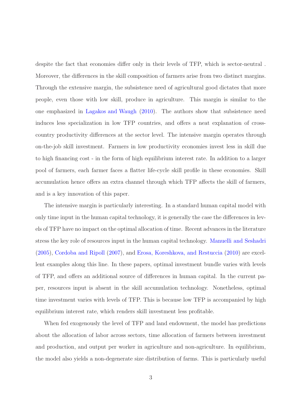despite the fact that economies differ only in their levels of TFP, which is sector-neutral . Moreover, the differences in the skill composition of farmers arise from two distinct margins. Through the extensive margin, the subsistence need of agricultural good dictates that more people, even those with low skill, produce in agriculture. This margin is similar to the one emphasized in Lagakos and Waugh (2010). The authors show that subsistence need induces less specialization in low TFP countries, and offers a neat explanation of crosscountry productivity differences at the sector level. The intensive margin operates through on-the-job skill investment. Farmers in low productivity economies invest less in skill due to high financing cost - in the form of high equilibrium interest rate. In addition to a larger pool of farmers, each farmer faces a flatter life-cycle skill profile in these economies. Skill accumulation hence offers an extra channel through which TFP affects the skill of farmers, and is a key innovation of this paper.

The intensive margin is particularly interesting. In a standard human capital model with only time input in the human capital technology, it is generally the case the differences in levels of TFP have no impact on the optimal allocation of time. Recent advances in the literature stress the key role of resources input in the human capital technology. Manuelli and Seshadri (2005), Cordoba and Ripoll (2007), and Erosa, Koreshkova, and Restuccia (2010) are excellent examples along this line. In these papers, optimal investment bundle varies with levels of TFP, and offers an additional source of differences in human capital. In the current paper, resources input is absent in the skill accumulation technology. Nonetheless, optimal time investment varies with levels of TFP. This is because low TFP is accompanied by high equilibrium interest rate, which renders skill investment less profitable.

When fed exogenously the level of TFP and land endowment, the model has predictions about the allocation of labor across sectors, time allocation of farmers between investment and production, and output per worker in agriculture and non-agriculture. In equilibrium, the model also yields a non-degenerate size distribution of farms. This is particularly useful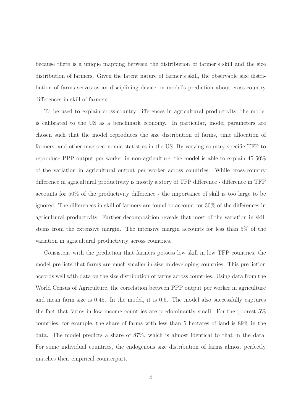because there is a unique mapping between the distribution of farmer's skill and the size distribution of farmers. Given the latent nature of farmer's skill, the observable size distribution of farms serves as an disciplining device on model's prediction about cross-country differences in skill of farmers.

To be used to explain cross-country differences in agricultural productivity, the model is calibrated to the US as a benchmark economy. In particular, model parameters are chosen such that the model reproduces the size distribution of farms, time allocation of farmers, and other macroeconomic statistics in the US. By varying country-specific TFP to reproduce PPP output per worker in non-agriculture, the model is able to explain 45-50% of the variation in agricultural output per worker across countries. While cross-country difference in agricultural productivity is mostly a story of TFP difference - difference in TFP accounts for 50% of the productivity difference - the importance of skill is too large to be ignored. The differences in skill of farmers are found to account for 30% of the differences in agricultural productivity. Further decomposition reveals that most of the variation in skill stems from the extensive margin. The intensive margin accounts for less than 5% of the variation in agricultural productivity across countries.

Consistent with the prediction that farmers possess low skill in low TFP countries, the model predicts that farms are much smaller in size in developing countries. This prediction accords well with data on the size distribution of farms across countries. Using data from the World Census of Agriculture, the correlation between PPP output per worker in agriculture and mean farm size is 0.45. In the model, it is 0.6. The model also successfully captures the fact that farms in low income countries are predominantly small. For the poorest 5% countries, for example, the share of farms with less than 5 hectares of land is 89% in the data. The model predicts a share of 87%, which is almost identical to that in the data. For some individual countries, the endogenous size distribution of farms almost perfectly matches their empirical counterpart.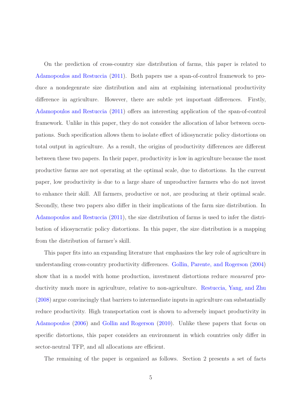On the prediction of cross-country size distribution of farms, this paper is related to Adamopoulos and Restuccia (2011). Both papers use a span-of-control framework to produce a nondegenrate size distribution and aim at explaining international productivity difference in agriculture. However, there are subtle yet important differences. Firstly, Adamopoulos and Restuccia (2011) offers an interesting application of the span-of-control framework. Unlike in this paper, they do not consider the allocation of labor between occupations. Such specification allows them to isolate effect of idiosyncratic policy distortions on total output in agriculture. As a result, the origins of productivity differences are different between these two papers. In their paper, productivity is low in agriculture because the most productive farms are not operating at the optimal scale, due to distortions. In the current paper, low productivity is due to a large share of unproductive farmers who do not invest to enhance their skill. All farmers, productive or not, are producing at their optimal scale. Secondly, these two papers also differ in their implications of the farm size distribution. In Adamopoulos and Restuccia (2011), the size distribution of farms is used to infer the distribution of idiosyncratic policy distortions. In this paper, the size distribution is a mapping from the distribution of farmer's skill.

This paper fits into an expanding literature that emphasizes the key role of agriculture in understanding cross-country productivity differences. Gollin, Parente, and Rogerson (2004) show that in a model with home production, investment distortions reduce measured productivity much more in agriculture, relative to non-agriculture. Restuccia, Yang, and Zhu (2008) argue convincingly that barriers to intermediate inputs in agriculture can substantially reduce productivity. High transportation cost is shown to adversely impact productivity in Adamopoulos (2006) and Gollin and Rogerson (2010). Unlike these papers that focus on specific distortions, this paper considers an environment in which countries only differ in sector-neutral TFP, and all allocations are efficient.

The remaining of the paper is organized as follows. Section 2 presents a set of facts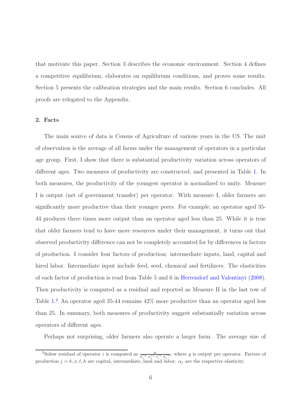that motivate this paper. Section 3 describes the economic environment. Section 4 defines a competitive equilibrium, elaborates on equilibrium conditions, and proves some results. Section 5 presents the calibration strategies and the main results. Section 6 concludes. All proofs are relegated to the Appendix.

# 2. Facts

The main source of data is Census of Agriculture of various years in the US. The unit of observation is the average of all farms under the management of operators in a particular age group. First, I show that there is substantial productivity variation across operators of different ages. Two measures of productivity are constructed, and presented in Table 1. In both measures, the productivity of the youngest operator is normalized to unity. Measure I is output (net of government transfer) per operator. With measure I, older farmers are significantly more productive than their younger peers. For example, an operator aged 35- 44 produces three times more output than an operator aged less than 25. While it is true that older farmers tend to have more resources under their management, it turns out that observed productivity difference can not be completely accounted for by differences in factors of production. I consider four factors of production: intermediate inputs, land, capital and hired labor. Intermediate input include feed, seed, chemical and fertilizers. The elasticities of each factor of production is read from Table 5 and 6 in Herrendorf and Valentinyi (2008). Then productivity is computed as a residual and reported as Measure II in the last row of Table 1.<sup>2</sup> An operator aged 35-44 remains 42% more productive than an operator aged less than 25. In summary, both measures of productivity suggest substantially variation across operators of different ages.

Perhaps not surprising, older farmers also operate a larger farm. The average size of

<sup>&</sup>lt;sup>2</sup>Solow residual of operator *i* is computed as  $\frac{y_i}{k_i^{\alpha_k} \cdot x_i^{\alpha_k} \cdot \ell_i^{\alpha_\ell} \cdot h_i^{\alpha_h}}$ , where *y* is output per operator. Factors of production  $j = k, x, \ell, h$  are capital, intermediate, land and labor.  $\alpha_j$  are the respective elasticity.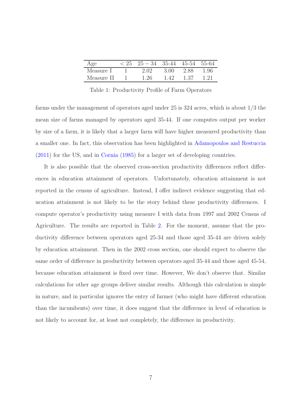| Age        | $\rm < 25$ | $25 - 34$ 35-44 |      | 45-54 . | $55 - 64$ |
|------------|------------|-----------------|------|---------|-----------|
| Measure I  |            | 2.02            | 3.00 | 2.88    | 1.96      |
| Measure II |            | 1 26            | 142  | 1.37    | 191       |

Table 1: Productivity Profile of Farm Operators

farms under the management of operators aged under 25 is 324 acres, which is about 1/3 the mean size of farms managed by operators aged 35-44. If one computes output per worker by size of a farm, it is likely that a larger farm will have higher measured productivity than a smaller one. In fact, this observation has been highlighted in Adamopoulos and Restuccia (2011) for the US, and in Cornia (1985) for a larger set of developing countries.

It is also possible that the observed cross-section productivity differences reflect differences in education attainment of operators. Unfortunately, education attainment is not reported in the census of agriculture. Instead, I offer indirect evidence suggesting that education attainment is not likely to be the story behind these productivity differences. I compute operator's productivity using measure I with data from 1997 and 2002 Census of Agriculture. The results are reported in Table 2. For the moment, assume that the productivity difference between operators aged 25-34 and those aged 35-44 are driven solely by education attainment. Then in the 2002 cross section, one should expect to observe the same order of difference in productivity between operators aged 35-44 and those aged 45-54, because education attainment is fixed over time. However, We don't observe that. Similar calculations for other age groups deliver similar results. Although this calculation is simple in nature, and in particular ignores the entry of farmer (who might have different education than the incumbents) over time, it does suggest that the difference in level of education is not likely to account for, at least not completely, the difference in productivity.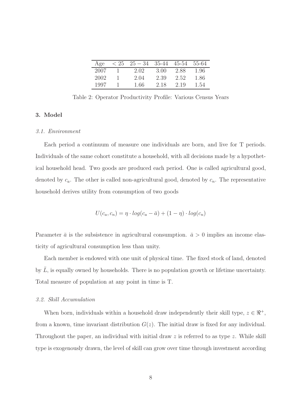| Age  | $< 25$ $25 - 34$ $35 - 44$ $45 - 54$ |      |      | -55-64 |
|------|--------------------------------------|------|------|--------|
| 2007 | 2.02                                 | 3.00 | 2.88 | 1.96   |
| 2002 | 2.04                                 | 2.39 | 2.52 | 1.86   |
| 1997 | 1.66                                 | 2.18 | 2.19 | 1.54   |

Table 2: Operator Productivity Profile: Various Census Years

# 3. Model

#### 3.1. Environment

Each period a continuum of measure one individuals are born, and live for T periods. Individuals of the same cohort constitute a household, with all decisions made by a hypothetical household head. Two goods are produced each period. One is called agricultural good, denoted by  $c_a$ . The other is called non-agricultural good, denoted by  $c_n$ . The representative household derives utility from consumption of two goods

$$
U(c_a, c_n) = \eta \cdot log(c_a - \bar{a}) + (1 - \eta) \cdot log(c_n)
$$

Parameter  $\bar{a}$  is the subsistence in agricultural consumption.  $\bar{a} > 0$  implies an income elasticity of agricultural consumption less than unity.

Each member is endowed with one unit of physical time. The fixed stock of land, denoted by  $\bar{L}$ , is equally owned by households. There is no population growth or lifetime uncertainty. Total measure of population at any point in time is T.

#### 3.2. Skill Accumulation

When born, individuals within a household draw independently their skill type,  $z \in \mathbb{R}^+$ , from a known, time invariant distribution  $G(z)$ . The initial draw is fixed for any individual. Throughout the paper, an individual with initial draw z is referred to as type z. While skill type is exogenously drawn, the level of skill can grow over time through investment according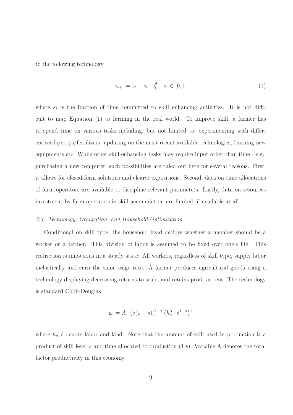to the following technology

$$
z_{t+1} = z_t + z_t \cdot s_t^{\theta}, \quad s_t \in [0, 1]
$$
\n<sup>(1)</sup>

where  $s_t$  is the fraction of time committed to skill enhancing activities. It is not difficult to map Equation (1) to farming in the real world. To improve skill, a farmer has to spend time on various tasks including, but not limited to, experimenting with different seeds/crops/fertilizers, updating on the most recent available technologies, learning new equipments etc. While other skill-enhancing tasks may require input other than time - e.g., purchasing a new computer, such possibilities are ruled out here for several reasons. First, it allows for closed-form solutions and clearer expositions. Second, data on time allocations of farm operators are available to discipline relevant parameters. Lastly, data on resources investment by farm operators in skill accumulation are limited, if available at all.

#### 3.3. Technology, Occupation, and Household Optimization

Conditional on skill type, the household head decides whether a member should be a worker or a farmer. This division of labor is assumed to be fixed over one's life. This restriction is innocuous in a steady state. All workers, regardless of skill type, supply labor inelastically and earn the same wage rate. A farmer produces agricultural goods using a technology displaying decreasing returns to scale, and retains profit as rent. The technology is standard Cobb-Douglas

$$
y_a = A \cdot (z(1-s))^{1-\gamma} (h_a^{\alpha} \cdot \ell^{1-\alpha})^{\gamma}
$$

where  $h_a, \ell$  denote labor and land. Note that the amount of skill used in production is a product of skill level z and time allocated to production (1-s). Variable A denotes the total factor productivity in this economy.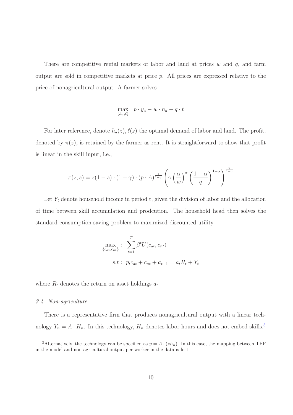There are competitive rental markets of labor and land at prices  $w$  and  $q$ , and farm output are sold in competitive markets at price p. All prices are expressed relative to the price of nonagricultural output. A farmer solves

$$
\max_{\{h_a,\ell\}} \ p \cdot y_a - w \cdot h_a - q \cdot \ell
$$

For later reference, denote  $h_a(z)$ ,  $\ell(z)$  the optimal demand of labor and land. The profit, denoted by  $\pi(z)$ , is retained by the farmer as rent. It is straightforward to show that profit is linear in the skill input, i.e.,

$$
\pi(z,s) = z(1-s) \cdot (1-\gamma) \cdot (p \cdot A)^{\frac{1}{1-\gamma}} \left(\gamma \left(\frac{\alpha}{w}\right)^{\alpha} \left(\frac{1-\alpha}{q}\right)^{1-\alpha}\right)^{\frac{\gamma}{1-\gamma}}
$$

Let  $Y_t$  denote household income in period t, given the division of labor and the allocation of time between skill accumulation and prodcution. The household head then solves the standard consumption-saving problem to maximized discounted utility

$$
\max_{\{c_{at}, c_{nt}\}}: \sum_{t=1}^{T} \beta^t U(c_{at}, c_{nt})
$$
  
s.t:  $p_t c_{at} + c_{nt} + a_{t+1} = a_t R_t + Y_t$ 

where  $R_t$  denotes the return on asset holdings  $a_t$ .

#### 3.4. Non-agriculture

There is a representative firm that produces nonagricultural output with a linear technology  $Y_n = A \cdot H_n$ . In this technology,  $H_n$  denotes labor hours and does not embed skills.<sup>3</sup>

<sup>&</sup>lt;sup>3</sup>Alternatively, the technology can be specified as  $y = A \cdot (zh_n)$ . In this case, the mapping between TFP in the model and non-agricultural output per worker in the data is lost.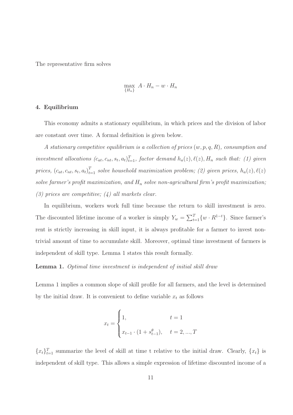The representative firm solves

$$
\max_{\{H_n\}} A \cdot H_n - w \cdot H_n
$$

# 4. Equilibrium

This economy admits a stationary equilibrium, in which prices and the division of labor are constant over time. A formal definition is given below.

A stationary competitive equilibrium is a collection of prices  $(w, p, q, R)$ , consumption and investment allocations  $(c_{at}, c_{nt}, s_t, a_t)_{t=1}^T$ , factor demand  $h_a(z)$ ,  $\ell(z)$ ,  $H_n$  such that: (1) given prices,  $(c_{at}, c_{nt}, s_t, a_t)_{t=1}^T$  solve household maximization problem; (2) given prices,  $h_a(z)$ ,  $\ell(z)$ solve farmer's profit maximization, and  $H_n$  solve non-agricultural firm's profit maximization; (3) prices are competitive; (4) all markets clear.

In equilibrium, workers work full time because the return to skill investment is zero. The discounted lifetime income of a worker is simply  $Y_w = \sum_{t=1}^{T} \{w \cdot R^{1-t}\}\$ . Since farmer's rent is strictly increasing in skill input, it is always profitable for a farmer to invest nontrivial amount of time to accumulate skill. Moreover, optimal time investment of farmers is independent of skill type. Lemma 1 states this result formally.

Lemma 1. Optimal time investment is independent of initial skill draw

Lemma 1 implies a common slope of skill profile for all farmers, and the level is determined by the initial draw. It is convenient to define variable  $x_t$  as follows

$$
x_{t} = \begin{cases} 1, & t = 1 \\ x_{t-1} \cdot (1 + s_{t-1}^{\theta}), & t = 2, ..., T \end{cases}
$$

 ${x_t}_{t=1}^T$  summarize the level of skill at time t relative to the initial draw. Clearly,  ${x_t}$  is independent of skill type. This allows a simple expression of lifetime discounted income of a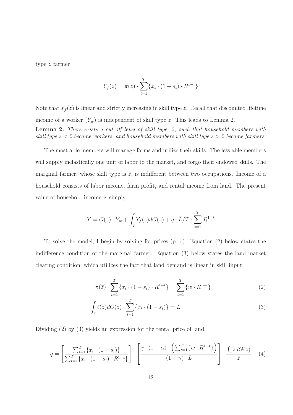type z farmer

$$
Y_f(z) = \pi(z) \cdot \sum_{t=1}^{T} \{x_t \cdot (1 - s_t) \cdot R^{1-t}\}
$$

Note that  $Y_f(z)$  is linear and strictly increasing in skill type z. Recall that discounted lifetime income of a worker  $(Y_w)$  is independent of skill type z. This leads to Lemma 2. **Lemma 2.** There exists a cut-off level of skill type,  $\bar{z}$ , such that household members with skill type  $z < \bar{z}$  become workers, and household members with skill type  $z > \bar{z}$  become farmers.

The most able members will manage farms and utilize their skills. The less able members will supply inelastically one unit of labor to the market, and forgo their endowed skills. The marginal farmer, whose skill type is  $\bar{z}$ , is indifferent between two occupations. Income of a household consists of labor income, farm profit, and rental income from land. The present value of household income is simply

$$
Y = G(\bar{z}) \cdot Y_w + \int_{\bar{z}} Y_f(z) dG(z) + q \cdot \bar{L}/T \cdot \sum_{t=1}^T R^{1-t}
$$

To solve the model, I begin by solving for prices (p, q). Equation (2) below states the indifference condition of the marginal farmer. Equation (3) below states the land market clearing condition, which utilizes the fact that land demand is linear in skill input.

$$
\pi(\bar{z}) \cdot \sum_{t=1}^{T} \{x_t \cdot (1 - s_t) \cdot R^{1-t}\} = \sum_{t=1}^{T} \{w \cdot R^{1-t}\}
$$
 (2)

$$
\int_{\bar{z}} \ell(z) dG(z) \cdot \sum_{t=1}^{T} \{x_t \cdot (1 - s_t)\} = \bar{L}
$$
\n(3)

Dividing (2) by (3) yields an expression for the rental price of land

$$
q = \left[\frac{\sum_{t=1}^{T} \{x_t \cdot (1-s_t)\}}{\sum_{t=1}^{T} \{x_t \cdot (1-s_t) \cdot R^{1-t}\}}\right] \cdot \left[\frac{\gamma \cdot (1-\alpha) \cdot \left(\sum_{t=1}^{T} \{w \cdot R^{1-t}\}\right)}{(1-\gamma) \cdot \bar{L}}\right] \cdot \frac{\int_{\bar{z}} z dG(z)}{\bar{z}} \tag{4}
$$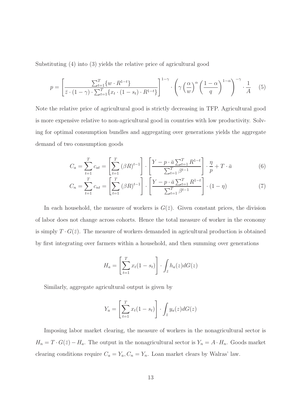Substituting (4) into (3) yields the relative price of agricultural good

$$
p = \left[\frac{\sum_{t=1}^{T} \{w \cdot R^{1-t}\}}{\bar{z} \cdot (1-\gamma) \cdot \sum_{t=1}^{T} \{x_t \cdot (1-s_t) \cdot R^{1-t}\}}\right]^{1-\gamma} \cdot \left(\gamma \left(\frac{\alpha}{w}\right)^{\alpha} \left(\frac{1-\alpha}{q}\right)^{1-\alpha}\right)^{-\gamma} \cdot \frac{1}{A} \quad (5)
$$

Note the relative price of agricultural good is strictly decreasing in TFP. Agricultural good is more expensive relative to non-agricultural good in countries with low productivity. Solving for optimal consumption bundles and aggregating over generations yields the aggregate demand of two consumption goods

$$
C_a = \sum_{t=1}^{T} c_{at} = \left[ \sum_{t=1}^{T} (\beta R)^{t-1} \right] \cdot \left[ \frac{Y - p \cdot \bar{a} \sum_{t=1}^{T} R^{1-t}}{\sum_{t=1}^{T} \beta^{t-1}} \right] \cdot \frac{\eta}{p} + T \cdot \bar{a}
$$
(6)

$$
C_n = \sum_{t=1}^{T} c_{nt} = \left[ \sum_{t=1}^{T} (\beta R)^{t-1} \right] \cdot \left[ \frac{Y - p \cdot \bar{a} \sum_{t=1}^{T} R^{1-t}}{\sum_{t=1}^{T} \beta^{t-1}} \right] \cdot (1 - \eta) \tag{7}
$$

In each household, the measure of workers is  $G(\overline{z})$ . Given constant prices, the division of labor does not change across cohorts. Hence the total measure of worker in the economy is simply  $T \cdot G(\bar{z})$ . The measure of workers demanded in agricultural production is obtained by first integrating over farmers within a household, and then summing over generations

$$
H_a = \left[\sum_{t=1}^T x_t (1 - s_t)\right] \cdot \int_{\bar{z}} h_a(z) dG(z)
$$

Similarly, aggregate agricultural output is given by

$$
Y_a = \left[\sum_{t=1}^T x_t (1 - s_t)\right] \cdot \int_{\bar{z}} y_a(z) dG(z)
$$

Imposing labor market clearing, the measure of workers in the nonagricultural sector is  $H_n = T \cdot G(\bar{z}) - H_a$ . The output in the nonagricultural sector is  $Y_n = A \cdot H_n$ . Goods market clearing conditions require  $C_a = Y_a$ ,  $C_n = Y_n$ . Loan market clears by Walras' law.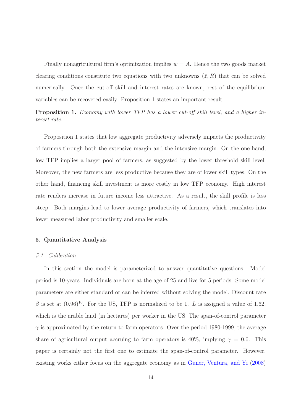Finally nonagricultural firm's optimization implies  $w = A$ . Hence the two goods market clearing conditions constitute two equations with two unknowns  $(\bar{z}, R)$  that can be solved numerically. Once the cut-off skill and interest rates are known, rest of the equilibrium variables can be recovered easily. Proposition 1 states an important result.

Proposition 1. Economy with lower TFP has a lower cut-off skill level, and a higher interest rate.

Proposition 1 states that low aggregate productivity adversely impacts the productivity of farmers through both the extensive margin and the intensive margin. On the one hand, low TFP implies a larger pool of farmers, as suggested by the lower threshold skill level. Moreover, the new farmers are less productive because they are of lower skill types. On the other hand, financing skill investment is more costly in low TFP economy. High interest rate renders increase in future income less attractive. As a result, the skill profile is less steep. Both margins lead to lower average productivity of farmers, which translates into lower measured labor productivity and smaller scale.

# 5. Quantitative Analysis

#### 5.1. Calibration

In this section the model is parameterized to answer quantitative questions. Model period is 10-years. Individuals are born at the age of 25 and live for 5 periods. Some model parameters are either standard or can be inferred without solving the model. Discount rate  $\beta$  is set at  $(0.96)^{10}$ . For the US, TFP is normalized to be 1.  $\overline{L}$  is assigned a value of 1.62, which is the arable land (in hectares) per worker in the US. The span-of-control parameter  $\gamma$  is approximated by the return to farm operators. Over the period 1980-1999, the average share of agricultural output accruing to farm operators is 40%, implying  $\gamma = 0.6$ . This paper is certainly not the first one to estimate the span-of-control parameter. However, existing works either focus on the aggregate economy as in Guner, Ventura, and Yi (2008)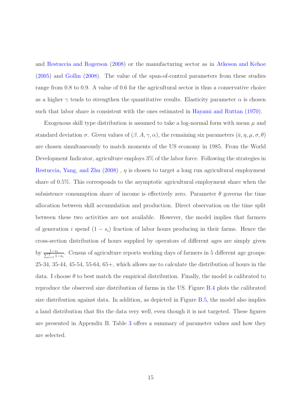and Restuccia and Rogerson (2008) or the manufacturing sector as in Atkeson and Kehoe (2005) and Gollin (2008). The value of the span-of-control parameters from these studies range from 0.8 to 0.9. A value of 0.6 for the agricultural sector is thus a conservative choice as a higher  $\gamma$  tends to strengthen the quantitative results. Elasticity parameter  $\alpha$  is chosen such that labor share is consistent with the ones estimated in Hayami and Ruttan (1970).

Exogenous skill type distribution is assumed to take a log-normal form with mean  $\mu$  and standard deviation  $\sigma$ . Given values of  $(\beta, A, \gamma, \alpha)$ , the remaining six parameters  $(\bar{a}, \eta, \mu, \sigma, \theta)$ are chosen simultaneously to match moments of the US economy in 1985. From the World Development Indicator, agriculture employs 3% of the labor force. Following the strategies in Restuccia, Yang, and Zhu  $(2008)$ ,  $\eta$  is chosen to target a long run agricultural employment share of 0.5%. This corresponds to the asymptotic agricultural employment share when the subsistence consumption share of income is effectively zero. Parameter  $\theta$  governs the time allocation between skill accumulation and production. Direct observation on the time split between these two activities are not available. However, the model implies that farmers of generation i spend  $(1 - s_i)$  fraction of labor hours producing in their farms. Hence the cross-section distribution of hours supplied by operators of different ages are simply given by  $\frac{1-s_i}{\sum_{i=1}^T 1-s_i}$ . Census of agriculture reports working days of farmers in 5 different age groups: 25-34, 35-44, 45-54, 55-64, 65+, which allows me to calculate the distribution of hours in the data. I choose  $\theta$  to best match the empirical distribution. Finally, the model is calibrated to reproduce the observed size distribution of farms in the US. Figure B.4 plots the calibrated size distribution against data. In addition, as depicted in Figure B.5, the model also implies a land distribution that fits the data very well, even though it is not targeted. These figures are presented in Appendix B. Table 3 offers a summary of parameter values and how they are selected.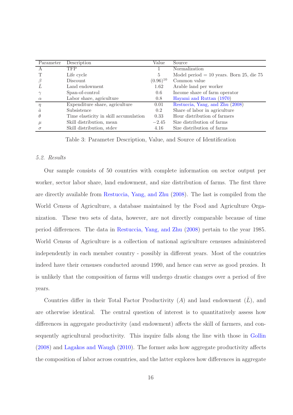| Parameter | Description                           | Value         | Source                                     |
|-----------|---------------------------------------|---------------|--------------------------------------------|
| A         | <b>TFP</b>                            |               | Normalization                              |
| T         | Life cycle                            | 5             | Model period $= 10$ years. Born 25, die 75 |
|           | Discount                              | $(0.96)^{10}$ | Common value                               |
|           | Land endowment                        | 1.62          | Arable land per worker                     |
|           | Span-of-control                       | 0.6           | Income share of farm operator              |
| $\alpha$  | Labor share, agriculture              | 0.8           | Hayami and Ruttan (1970)                   |
| $\eta$    | Expenditure share, agriculture        | 0.01          | Restuccia, Yang, and Zhu (2008)            |
| $\bar{a}$ | Subsistence                           | 0.2           | Share of labor in agriculture              |
| $\theta$  | Time elasticity in skill accumulation | 0.33          | Hour distribution of farmers               |
| $\mu$     | Skill distribution, mean              | $-2.45$       | Size distribution of farms                 |
| $\sigma$  | Skill distribution, stdev             | 4.16          | Size distribution of farms                 |

Table 3: Parameter Description, Value, and Source of Identification

#### 5.2. Results

Our sample consists of 50 countries with complete information on sector output per worker, sector labor share, land endowment, and size distribution of farms. The first three are directly available from Restuccia, Yang, and Zhu (2008). The last is compiled from the World Census of Agriculture, a database maintained by the Food and Agriculture Organization. These two sets of data, however, are not directly comparable because of time period differences. The data in Restuccia, Yang, and Zhu (2008) pertain to the year 1985. World Census of Agriculture is a collection of national agriculture censuses administered independently in each member country - possibly in different years. Most of the countries indeed have their censuses conducted around 1990, and hence can serve as good proxies. It is unlikely that the composition of farms will undergo drastic changes over a period of five years.

Countries differ in their Total Factor Productivity  $(A)$  and land endowment  $(\overline{L})$ , and are otherwise identical. The central question of interest is to quantitatively assess how differences in aggregate productivity (and endowment) affects the skill of farmers, and consequently agricultural productivity. This inquire falls along the line with those in Gollin (2008) and Lagakos and Waugh (2010). The former asks how aggregate productivity affects the composition of labor across countries, and the latter explores how differences in aggregate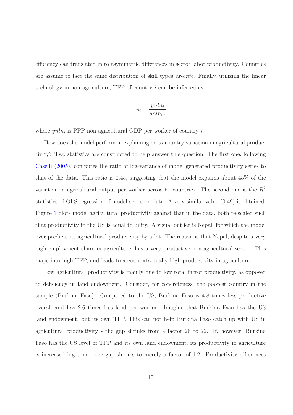efficiency can translated in to asymmetric differences in sector labor productivity. Countries are assume to face the same distribution of skill types *ex-ante*. Finally, utilizing the linear technology in non-agriculture, TFP of country i can be inferred as

$$
A_i = \frac{ynln_i}{ynln_{us}}
$$

where  $ynln_i$  is PPP non-agricultural GDP per worker of country i.

How does the model perform in explaining cross-country variation in agricultural productivity? Two statistics are constructed to help answer this question. The first one, following Caselli (2005), computes the ratio of log-variance of model generated productivity series to that of the data. This ratio is 0.45, suggesting that the model explains about 45% of the variation in agricultural output per worker across 50 countries. The second one is the  $R^2$ statistics of OLS regression of model series on data. A very similar value (0.49) is obtained. Figure 1 plots model agricultural productivity against that in the data, both re-scaled such that productivity in the US is equal to unity. A visual outlier is Nepal, for which the model over-predicts its agricultural productivity by a lot. The reason is that Nepal, despite a very high employment share in agriculture, has a very productive non-agricultural sector. This maps into high TFP, and leads to a counterfactually high productivity in agriculture.

Low agricultural productivity is mainly due to low total factor productivity, as opposed to deficiency in land endowment. Consider, for concreteness, the poorest country in the sample (Burkina Faso). Compared to the US, Burkina Faso is 4.8 times less productive overall and has 2.6 times less land per worker. Imagine that Burkina Faso has the US land endowment, but its own TFP. This can not help Burkina Faso catch up with US in agricultural productivity - the gap shrinks from a factor 28 to 22. If, however, Burkina Faso has the US level of TFP and its own land endowment, its productivity in agriculture is increased big time - the gap shrinks to merely a factor of 1.2. Productivity differences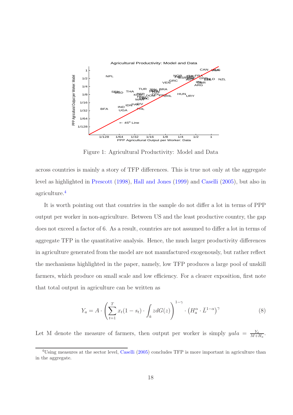

Figure 1: Agricultural Productivity: Model and Data

across countries is mainly a story of TFP differences. This is true not only at the aggregate level as highlighted in Prescott (1998), Hall and Jones (1999) and Caselli (2005), but also in agriculture.<sup>4</sup>

It is worth pointing out that countries in the sample do not differ a lot in terms of PPP output per worker in non-agriculture. Between US and the least productive country, the gap does not exceed a factor of 6. As a result, countries are not assumed to differ a lot in terms of aggregate TFP in the quantitative analysis. Hence, the much larger productivity differences in agriculture generated from the model are not manufactured exogenously, but rather reflect the mechanisms highlighted in the paper, namely, low TFP produces a large pool of unskill farmers, which produce on small scale and low efficiency. For a clearer exposition, first note that total output in agriculture can be written as

$$
Y_a = A \cdot \left(\sum_{t=1}^T x_t (1 - s_t) \cdot \int_{\bar{a}} z dG(z)\right)^{1 - \gamma} \cdot \left(H_a^{\alpha} \cdot \bar{L}^{1 - \alpha}\right)^{\gamma}
$$
(8)

Let M denote the measure of farmers, then output per worker is simply  $yala = \frac{Y_a}{M+1}$  $\frac{Y_a}{M+H_a}$ .

<sup>&</sup>lt;sup>4</sup>Using measures at the sector level, Caselli (2005) concludes TFP is more important in agriculture than in the aggregate.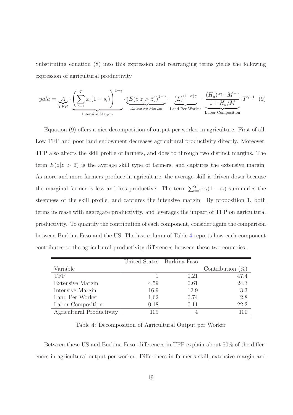Substituting equation (8) into this expression and rearranging terms yields the following expression of agricultural productivity

$$
yala = \underbrace{A}_{TFP} \cdot \underbrace{\left(\sum_{t=1}^{T} x_t (1 - s_t)\right)^{1-\gamma}}_{\text{Intensive Margin}} \cdot \underbrace{\left(E(z|z > \bar{z})\right)^{1-\gamma}}_{\text{Land Per Worker}} \cdot \underbrace{\left(\bar{L}\right)^{(1-\alpha)\gamma}}_{\text{Labor Composition}} \cdot T^{\gamma-1} \tag{9}
$$

Equation (9) offers a nice decomposition of output per worker in agriculture. First of all, Low TFP and poor land endowment decreases agricultural productivity directly. Moreover, TFP also affects the skill profile of farmers, and does to through two distinct margins. The term  $E(z|z > \bar{z})$  is the average skill type of farmers, and captures the extensive margin. As more and more farmers produce in agriculture, the average skill is driven down because the marginal farmer is less and less productive. The term  $\sum_{t=1}^{T} x_t(1-s_t)$  summaries the steepness of the skill profile, and captures the intensive margin. By proposition 1, both terms increase with aggregate productivity, and leverages the impact of TFP on agricultural productivity. To quantify the contribution of each component, consider again the comparison between Burkina Faso and the US. The last column of Table 4 reports how each component contributes to the agricultural productivity differences between these two countries.

|                           | United States Burkina Faso |      |                     |
|---------------------------|----------------------------|------|---------------------|
| Variable                  |                            |      | Contribution<br>(%) |
| TFP                       |                            | 0.21 | 47.4                |
| Extensive Margin          | 4.59                       | 0.61 | 24.3                |
| Intensive Margin          | 16.9                       | 12.9 | 3.3                 |
| Land Per Worker           | 1.62                       | 0.74 | 2.8                 |
| Labor Composition         | 0.18                       | 0.11 | 22.2                |
| Agricultural Productivity | 109                        |      | 100                 |

Table 4: Decomposition of Agricultural Output per Worker

Between these US and Burkina Faso, differences in TFP explain about 50% of the differences in agricultural output per worker. Differences in farmer's skill, extensive margin and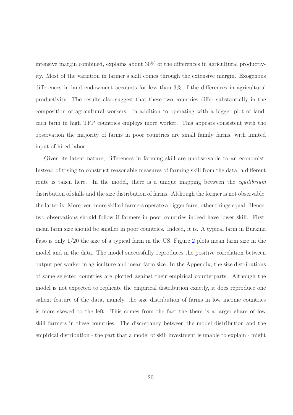intensive margin combined, explains about 30% of the differences in agricultural productivity. Most of the variation in farmer's skill comes through the extensive margin. Exogenous differences in land endowment accounts for less than 3% of the differences in agricultural productivity. The results also suggest that these two countries differ substantially in the composition of agricultural workers. In addition to operating with a bigger plot of land, each farm in high TFP countries employs more worker. This appears consistent with the observation the majority of farms in poor countries are small family farms, with limited input of hired labor.

Given its latent nature, differences in farming skill are unobservable to an economist. Instead of trying to construct reasonable measures of farming skill from the data, a different route is taken here. In the model, there is a unique mapping between the *equilibrium* distribution of skills and the size distribution of farms. Although the former is not observable, the latter is. Moreover, more skilled farmers operate a bigger farm, other things equal. Hence, two observations should follow if farmers in poor countries indeed have lower skill. First, mean farm size should be smaller in poor countries. Indeed, it is. A typical farm in Burkina Faso is only 1/20 the size of a typical farm in the US. Figure 2 plots mean farm size in the model and in the data. The model successfully reproduces the positive correlation between output per worker in agriculture and mean farm size. In the Appendix, the size distributions of some selected countries are plotted against their empirical counterparts. Although the model is not expected to replicate the empirical distribution exactly, it does reproduce one salient feature of the data, namely, the size distribution of farms in low income countries is more skewed to the left. This comes from the fact the there is a larger share of low skill farmers in these countries. The discrepancy between the model distribution and the empirical distribution - the part that a model of skill investment is unable to explain - might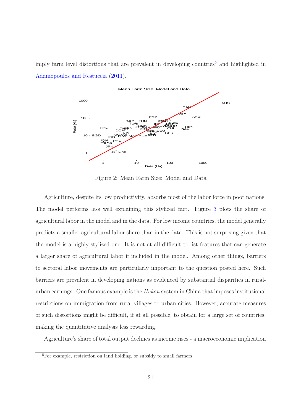imply farm level distortions that are prevalent in developing countries 5 and highlighted in Adamopoulos and Restuccia (2011).



Figure 2: Mean Farm Size: Model and Data

Agriculture, despite its low productivity, absorbs most of the labor force in poor nations. The model performs less well explaining this stylized fact. Figure 3 plots the share of agricultural labor in the model and in the data. For low income countries, the model generally predicts a smaller agricultural labor share than in the data. This is not surprising given that the model is a highly stylized one. It is not at all difficult to list features that can generate a larger share of agricultural labor if included in the model. Among other things, barriers to sectoral labor movements are particularly important to the question posted here. Such barriers are prevalent in developing nations as evidenced by substantial disparities in ruralurban earnings. One famous example is the Hukou system in China that imposes institutional restrictions on immigration from rural villages to urban cities. However, accurate measures of such distortions might be difficult, if at all possible, to obtain for a large set of countries, making the quantitative analysis less rewarding.

Agriculture's share of total output declines as income rises - a macroeconomic implication

<sup>5</sup>For example, restriction on land holding, or subsidy to small farmers.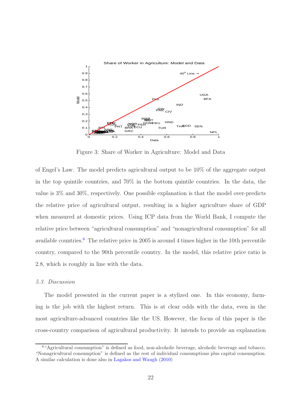

Figure 3: Share of Worker in Agriculture: Model and Data

of Engel's Law. The model predicts agricultural output to be 10% of the aggregate output in the top quintile countries, and 70% in the bottom quintile countries. In the data, the value is 3% and 30%, respectively. One possible explanation is that the model over-predicts the relative price of agricultural output, resulting in a higher agriculture share of GDP when measured at domestic prices. Using ICP data from the World Bank, I compute the relative price between "agricultural consumption" and "nonagricultural consumption" for all available countries.<sup>6</sup> The relative price in 2005 is around 4 times higher in the 10th percentile country, compared to the 90th percentile country. In the model, this relative price ratio is 2.8, which is roughly in line with the data.

## 5.3. Discussion

The model presented in the current paper is a stylized one. In this economy, farming is the job with the highest return. This is at clear odds with the data, even in the most agriculture-advanced countries like the US. However, the focus of this paper is the cross-country comparison of agricultural productivity. It intends to provide an explanation

<sup>6</sup>"Agricultural consumption" is defined as food, non-alcoholic beverage, alcoholic beverage and tobacco. "Nonagricultural consumption" is defined as the rest of individual consumptions plus capital consumption. A similar calculation is done also in Lagakos and Waugh (2010)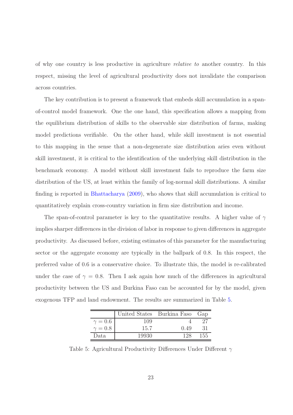of why one country is less productive in agriculture relative to another country. In this respect, missing the level of agricultural productivity does not invalidate the comparison across countries.

The key contribution is to present a framework that embeds skill accumulation in a spanof-control model framework. One the one hand, this specification allows a mapping from the equilibrium distribution of skills to the observable size distribution of farms, making model predictions verifiable. On the other hand, while skill investment is not essential to this mapping in the sense that a non-degenerate size distribution aries even without skill investment, it is critical to the identification of the underlying skill distribution in the benchmark economy. A model without skill investment fails to reproduce the farm size distribution of the US, at least within the family of log-normal skill distributions. A similar finding is reported in Bhattacharya (2009), who shows that skill accumulation is critical to quantitatively explain cross-country variation in firm size distribution and income.

The span-of-control parameter is key to the quantitative results. A higher value of  $\gamma$ implies sharper differences in the division of labor in response to given differences in aggregate productivity. As discussed before, existing estimates of this parameter for the manufacturing sector or the aggregate economy are typically in the ballpark of 0.8. In this respect, the preferred value of 0.6 is a conservative choice. To illustrate this, the model is re-calibrated under the case of  $\gamma = 0.8$ . Then I ask again how much of the differences in agricultural productivity between the US and Burkina Faso can be accounted for by the model, given exogenous TFP and land endowment. The results are summarized in Table 5.

|                |       | United States Burkina Faso Gap |     |
|----------------|-------|--------------------------------|-----|
| $\gamma = 0.6$ | 109   |                                |     |
| $\gamma = 0.8$ | 15.7  | (1.49)                         | 31  |
| Data           | 19930 |                                | 155 |

Table 5: Agricultural Productivity Differences Under Different  $\gamma$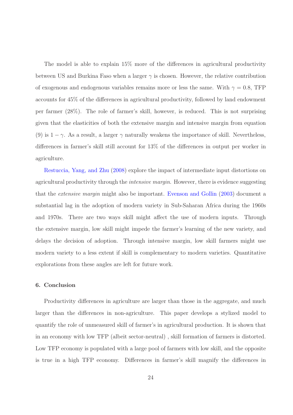The model is able to explain 15% more of the differences in agricultural productivity between US and Burkina Faso when a larger  $\gamma$  is chosen. However, the relative contribution of exogenous and endogenous variables remains more or less the same. With  $\gamma = 0.8$ , TFP accounts for 45% of the differences in agricultural productivity, followed by land endowment per farmer (28%). The role of farmer's skill, however, is reduced. This is not surprising given that the elasticities of both the extensive margin and intensive margin from equation (9) is  $1 - \gamma$ . As a result, a larger  $\gamma$  naturally weakens the importance of skill. Nevertheless, differences in farmer's skill still account for 13% of the differences in output per worker in agriculture.

Restuccia, Yang, and Zhu (2008) explore the impact of intermediate input distortions on agricultural productivity through the *intensive margin*. However, there is evidence suggesting that the extensive margin might also be important. Evenson and Gollin (2003) document a substantial lag in the adoption of modern variety in Sub-Saharan Africa during the 1960s and 1970s. There are two ways skill might affect the use of modern inputs. Through the extensive margin, low skill might impede the farmer's learning of the new variety, and delays the decision of adoption. Through intensive margin, low skill farmers might use modern variety to a less extent if skill is complementary to modern varieties. Quantitative explorations from these angles are left for future work.

#### 6. Conclusion

Productivity differences in agriculture are larger than those in the aggregate, and much larger than the differences in non-agriculture. This paper develops a stylized model to quantify the role of unmeasured skill of farmer's in agricultural production. It is shown that in an economy with low TFP (albeit sector-neutral) , skill formation of farmers is distorted. Low TFP economy is populated with a large pool of farmers with low skill, and the opposite is true in a high TFP economy. Differences in farmer's skill magnify the differences in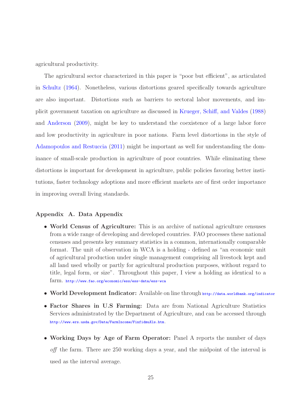agricultural productivity.

The agricultural sector characterized in this paper is "poor but efficient", as articulated in Schultz (1964). Nonetheless, various distortions geared specifically towards agriculture are also important. Distortions such as barriers to sectoral labor movements, and implicit government taxation on agriculture as discussed in Krueger, Schiff, and Valdes (1988) and Anderson (2009), might be key to understand the coexistence of a large labor force and low productivity in agriculture in poor nations. Farm level distortions in the style of Adamopoulos and Restuccia (2011) might be important as well for understanding the dominance of small-scale production in agriculture of poor countries. While eliminating these distortions is important for development in agriculture, public policies favoring better institutions, faster technology adoptions and more efficient markets are of first order importance in improving overall living standards.

#### Appendix A. Data Appendix

- World Census of Agriculture: This is an archive of national agriculture censuses from a wide range of developing and developed countries. FAO processes these national censuses and presents key summary statistics in a common, internationally comparable format. The unit of observation in WCA is a holding - defined as "an economic unit of agricultural production under single management comprising all livestock kept and all land used wholly or partly for agricultural production purposes, without regard to title, legal form, or size". Throughout this paper, I view a holding as identical to a farm. http://www.fao.org/economic/ess/ess-data/ess-wca
- World Development Indicator: Available on line through http://data.worldbank.org/indicator
- Factor Shares in U.S Farming: Data are from National Agriculture Statistics Services administrated by the Department of Agriculture, and can be accessed through http://www.ers.usda.gov/Data/FarmIncome/FinfidmuXls.htm.
- Working Days by Age of Farm Operator: Panel A reports the number of days off the farm. There are 250 working days a year, and the midpoint of the interval is used as the interval average.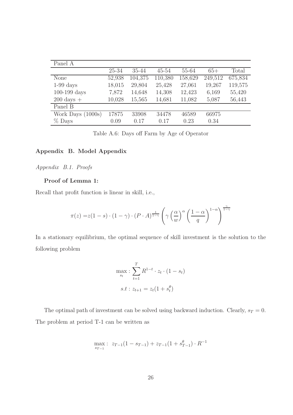| Panel A              |        |         |           |         |         |         |
|----------------------|--------|---------|-----------|---------|---------|---------|
|                      | 25-34  | 35-44   | $45 - 54$ | 55-64   | $65+$   | Total   |
| None                 | 52,938 | 104,375 | 110,380   | 158,629 | 249,512 | 675,834 |
| $1-99$ days          | 18,015 | 29,804  | 25,428    | 27,061  | 19,267  | 119,575 |
| $100-199$ days       | 7,872  | 14,648  | 14,308    | 12,423  | 6,169   | 55,420  |
| $200 \text{ days} +$ | 10,028 | 15,565  | 14,681    | 11,082  | 5,087   | 56,443  |
| Panel B              |        |         |           |         |         |         |
| Work Days $(1000s)$  | 17875  | 33908   | 34478     | 46589   | 66975   |         |
| $%$ Days             | 0.09   | 0.17    | 0.17      | 0.23    | 0.34    |         |

Table A.6: Days off Farm by Age of Operator

# Appendix B. Model Appendix

Appendix B.1. Proofs

# Proof of Lemma 1:

Recall that profit function is linear in skill, i.e.,

$$
\pi(z) = z(1-s) \cdot (1-\gamma) \cdot (P \cdot A)^{\frac{1}{1-\gamma}} \left(\gamma \left(\frac{\alpha}{w}\right)^{\alpha} \left(\frac{1-\alpha}{q}\right)^{1-\alpha}\right)^{\frac{\gamma}{1-\gamma}}
$$

In a stationary equilibrium, the optimal sequence of skill investment is the solution to the following problem

$$
\max_{s_t} : \sum_{t=1}^{T} R^{1-t} \cdot z_t \cdot (1 - s_t)
$$
  
s.t:  $z_{t+1} = z_t (1 + s_t^{\theta})$ 

The optimal path of investment can be solved using backward induction. Clearly,  $s_T = 0$ . The problem at period T-1 can be written as

$$
\max_{s_{T-1}} : z_{T-1}(1 - s_{T-1}) + z_{T-1}(1 + s_{T-1}^{\theta}) \cdot R^{-1}
$$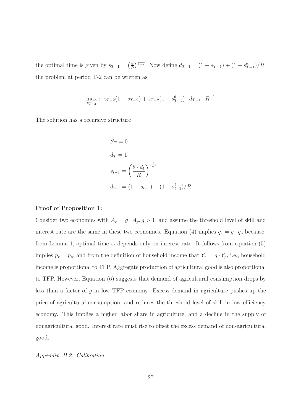the optimal time is given by  $s_{T-1} = \left(\frac{\theta}{R}\right)$  $\frac{\theta}{R}$   $\frac{1}{1-\theta}$ . Now define  $d_{T-1} = (1 - s_{T-1}) + (1 + s_{T-1}^{\theta})/R$ , the problem at period T-2 can be written as

$$
\max_{s_{T-2}} : z_{T-2}(1 - s_{T-2}) + z_{T-2}(1 + s_{T-2}^{\theta}) \cdot d_{T-1} \cdot R^{-1}
$$

The solution has a recursive structure

$$
S_T = 0
$$
  
\n
$$
d_T = 1
$$
  
\n
$$
s_{t-1} = \left(\frac{\theta \cdot d_t}{R}\right)^{\frac{1}{1-\theta}}
$$
  
\n
$$
d_{t-1} = (1 - s_{t-1}) + (1 + s_{t-1}^{\theta})/R
$$

#### Proof of Proposition 1:

Consider two economies with  $A_r = g \cdot A_p$ ,  $g > 1$ , and assume the threshold level of skill and interest rate are the same in these two economies. Equation (4) implies  $q_r = g \cdot q_p$  because, from Lemma 1, optimal time  $s_t$  depends only on interest rate. It follows from equation (5) implies  $p_r = p_p$ , and from the definition of household income that  $Y_r = g \cdot Y_p$ , i.e., household income is proportional to TFP. Aggregate production of agricultural good is also proportional to TFP. However, Equation (6) suggests that demand of agricultural consumption drops by less than a factor of  $g$  in low TFP economy. Excess demand in agriculture pushes up the price of agricultural consumption, and reduces the threshold level of skill in low efficiency economy. This implies a higher labor share in agriculture, and a decline in the supply of nonagricultural good. Interest rate must rise to offset the excess demand of non-agricultural good.

Appendix B.2. Calibration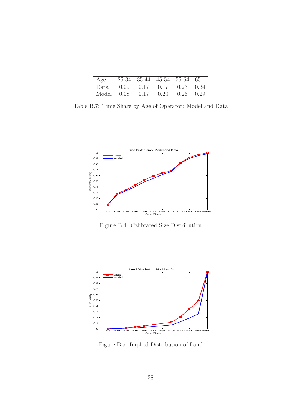| Age        |      |      | $25-34$ 35-44 45-54 55-64 65+      |      |
|------------|------|------|------------------------------------|------|
| Data.      |      |      | $0.09$ $0.17$ $0.17$ $0.23$ $0.34$ |      |
| Model 0.08 | 0.17 | 0.20 | 0.26                               | 0.29 |

Table B.7: Time Share by Age of Operator: Model and Data



Figure B.4: Calibrated Size Distribution



Figure B.5: Implied Distribution of Land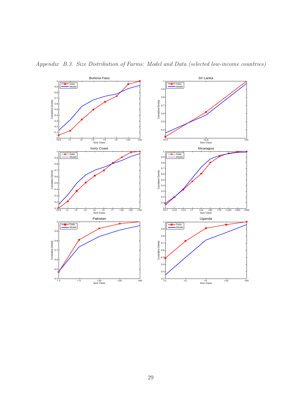

Appendix B.3. Size Distribution of Farms: Model and Data (selected low-income countries)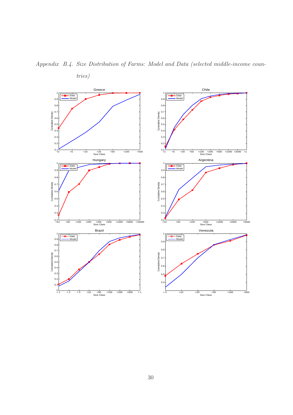

Appendix B.4. Size Distribution of Farms: Model and Data (selected middle-income coun-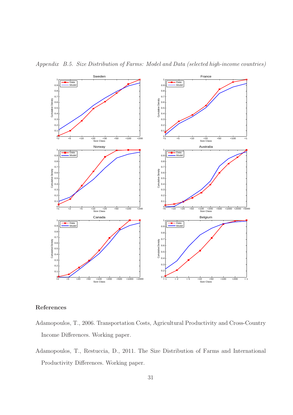

Appendix B.5. Size Distribution of Farms: Model and Data (selected high-income countries)

# References

- Adamopoulos, T., 2006. Transportation Costs, Agricultural Productivity and Cross-Country Income Differences. Working paper.
- Adamopoulos, T., Restuccia, D., 2011. The Size Distribution of Farms and International Productivity Differences. Working paper.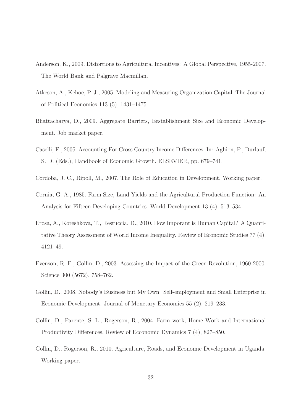- Anderson, K., 2009. Distortions to Agricultural Incentives: A Global Perspective, 1955-2007. The World Bank and Palgrave Macmillan.
- Atkeson, A., Kehoe, P. J., 2005. Modeling and Measuring Organization Capital. The Journal of Political Economics 113 (5), 1431–1475.
- Bhattacharya, D., 2009. Aggregate Barriers, Eestablishment Size and Economic Development. Job market paper.
- Caselli, F., 2005. Accounting For Cross Country Income Differences. In: Aghion, P., Durlauf, S. D. (Eds.), Handbook of Economic Growth. ELSEVIER, pp. 679–741.
- Cordoba, J. C., Ripoll, M., 2007. The Role of Education in Development. Working paper.
- Cornia, G. A., 1985. Farm Size, Land Yields and the Agricultural Production Function: An Analysis for Fifteen Developing Countries. World Development 13 (4), 513–534.
- Erosa, A., Koreshkova, T., Restuccia, D., 2010. How Imporant is Human Capital? A Quantitative Theory Assessment of World Income Inequality. Review of Economic Studies 77 (4), 4121–49.
- Evenson, R. E., Gollin, D., 2003. Assessing the Impact of the Green Revolution, 1960-2000. Science 300 (5672), 758–762.
- Gollin, D., 2008. Nobody's Business but My Own: Self-employment and Small Enterprise in Economic Development. Journal of Monetary Economics 55 (2), 219–233.
- Gollin, D., Parente, S. L., Rogerson, R., 2004. Farm work, Home Work and International Productivity Differences. Review of Ecconomic Dynamics 7 (4), 827–850.
- Gollin, D., Rogerson, R., 2010. Agriculture, Roads, and Economic Development in Uganda. Working paper.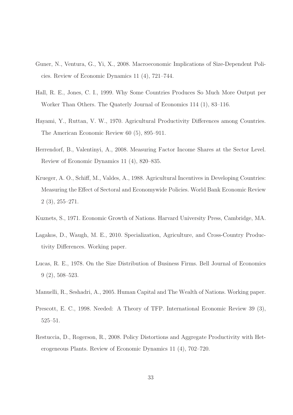- Guner, N., Ventura, G., Yi, X., 2008. Macroeconomic Implications of Size-Dependent Policies. Review of Economic Dynamics 11 (4), 721–744.
- Hall, R. E., Jones, C. I., 1999. Why Some Countries Produces So Much More Output per Worker Than Others. The Quaterly Journal of Economics 114 (1), 83–116.
- Hayami, Y., Ruttan, V. W., 1970. Agricultural Productivity Differences among Countries. The American Economic Review 60 (5), 895–911.
- Herrendorf, B., Valentinyi, A., 2008. Measuring Factor Income Shares at the Sector Level. Review of Economic Dynamics 11 (4), 820–835.
- Krueger, A. O., Schiff, M., Valdes, A., 1988. Agricultural Incentives in Developing Countries: Measuring the Effect of Sectoral and Economywide Policies. World Bank Economic Review  $2(3), 255-271.$
- Kuznets, S., 1971. Economic Growth of Nations. Harvard University Press, Cambridge, MA.
- Lagakos, D., Waugh, M. E., 2010. Specialization, Agriculture, and Cross-Country Productivity Differences. Working paper.
- Lucas, R. E., 1978. On the Size Distribution of Business Firms. Bell Journal of Economics 9 (2), 508–523.
- Manuelli, R., Seshadri, A., 2005. Human Capital and The Wealth of Nations. Working paper.
- Prescott, E. C., 1998. Needed: A Theory of TFP. International Economic Review 39 (3), 525–51.
- Restuccia, D., Rogerson, R., 2008. Policy Distortions and Aggregate Productivity with Heterogeneous Plants. Review of Economic Dynamics 11 (4), 702–720.